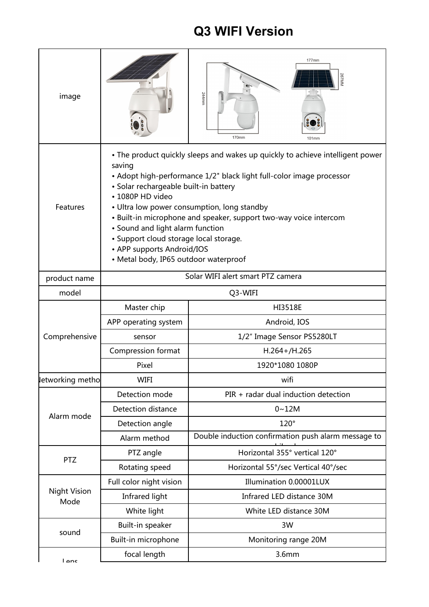## **Q3 WIFI Version**

| image                       |                                                                                                                                                                                                                                                                                                                                                                                                                                                                                                        | 177mm<br>244mm<br>170mm<br>101mm                    |  |
|-----------------------------|--------------------------------------------------------------------------------------------------------------------------------------------------------------------------------------------------------------------------------------------------------------------------------------------------------------------------------------------------------------------------------------------------------------------------------------------------------------------------------------------------------|-----------------------------------------------------|--|
| Features                    | • The product quickly sleeps and wakes up quickly to achieve intelligent power<br>saving<br>• Adopt high-performance 1/2" black light full-color image processor<br>• Solar rechargeable built-in battery<br>• 1080P HD video<br>• Ultra low power consumption, long standby<br>• Built-in microphone and speaker, support two-way voice intercom<br>• Sound and light alarm function<br>• Support cloud storage local storage.<br>• APP supports Android/IOS<br>• Metal body, IP65 outdoor waterproof |                                                     |  |
| product name                | Solar WIFI alert smart PTZ camera                                                                                                                                                                                                                                                                                                                                                                                                                                                                      |                                                     |  |
| model                       | Q3-WIFI                                                                                                                                                                                                                                                                                                                                                                                                                                                                                                |                                                     |  |
| Comprehensive               | Master chip                                                                                                                                                                                                                                                                                                                                                                                                                                                                                            | <b>HI3518E</b>                                      |  |
|                             | APP operating system                                                                                                                                                                                                                                                                                                                                                                                                                                                                                   | Android, IOS                                        |  |
|                             | sensor                                                                                                                                                                                                                                                                                                                                                                                                                                                                                                 | 1/2" Image Sensor PS5280LT                          |  |
|                             | <b>Compression format</b>                                                                                                                                                                                                                                                                                                                                                                                                                                                                              | $H.264 + / H.265$                                   |  |
|                             | Pixel                                                                                                                                                                                                                                                                                                                                                                                                                                                                                                  | 1920*1080 1080P                                     |  |
| letworking metho            | <b>WIFI</b>                                                                                                                                                                                                                                                                                                                                                                                                                                                                                            | wifi                                                |  |
| Alarm mode                  | Detection mode                                                                                                                                                                                                                                                                                                                                                                                                                                                                                         | PIR + radar dual induction detection                |  |
|                             | Detection distance                                                                                                                                                                                                                                                                                                                                                                                                                                                                                     | $0 - 12M$                                           |  |
|                             | Detection angle                                                                                                                                                                                                                                                                                                                                                                                                                                                                                        | $120^\circ$                                         |  |
|                             | Alarm method                                                                                                                                                                                                                                                                                                                                                                                                                                                                                           | Double induction confirmation push alarm message to |  |
| <b>PTZ</b>                  | PTZ angle                                                                                                                                                                                                                                                                                                                                                                                                                                                                                              | Horizontal 355° vertical 120°                       |  |
|                             | Rotating speed                                                                                                                                                                                                                                                                                                                                                                                                                                                                                         | Horizontal 55°/sec Vertical 40°/sec                 |  |
| <b>Night Vision</b><br>Mode | Full color night vision                                                                                                                                                                                                                                                                                                                                                                                                                                                                                | Illumination 0.00001LUX                             |  |
|                             | Infrared light                                                                                                                                                                                                                                                                                                                                                                                                                                                                                         | Infrared LED distance 30M                           |  |
|                             | White light                                                                                                                                                                                                                                                                                                                                                                                                                                                                                            | White LED distance 30M                              |  |
| sound                       | Built-in speaker                                                                                                                                                                                                                                                                                                                                                                                                                                                                                       | 3W                                                  |  |
|                             | Built-in microphone                                                                                                                                                                                                                                                                                                                                                                                                                                                                                    | Monitoring range 20M                                |  |
| l anc                       | focal length                                                                                                                                                                                                                                                                                                                                                                                                                                                                                           | 3.6mm                                               |  |
|                             |                                                                                                                                                                                                                                                                                                                                                                                                                                                                                                        |                                                     |  |